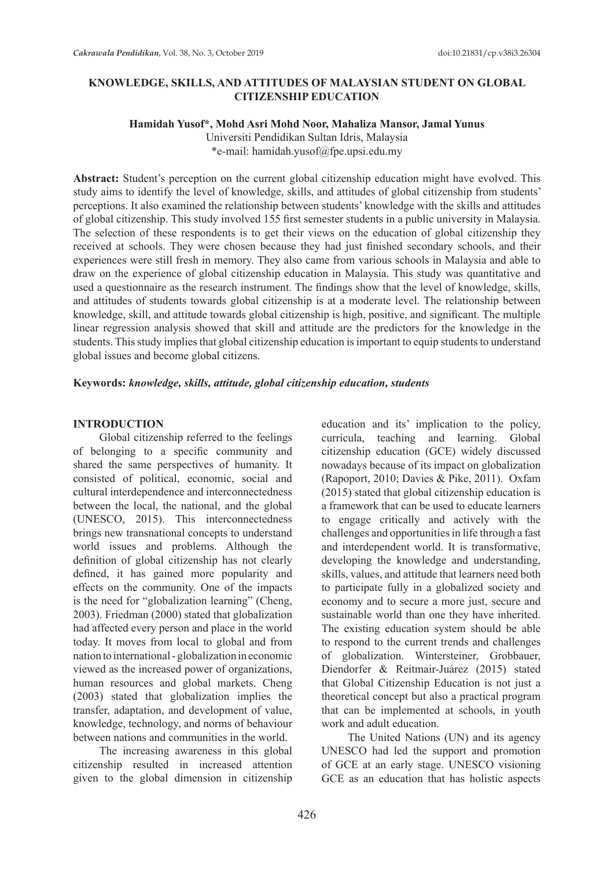# **KNOWLEDGE, SKILLS, AND ATTITUDES OF MALAYSIAN STUDENT ON GLOBAL CITIZENSHIP EDUCATION**

#### **Hamidah Yusof\*, Mohd Asri Mohd Noor, Mahaliza Mansor, Jamal Yunus**

Universiti Pendidikan Sultan Idris, Malaysia \*e-mail: hamidah.yusof@fpe.upsi.edu.my

**Abstract:** Student's perception on the current global citizenship education might have evolved. This study aims to identify the level of knowledge, skills, and attitudes of global citizenship from students' perceptions. It also examined the relationship between students' knowledge with the skills and attitudes of global citizenship. This study involved 155 first semester students in a public university in Malaysia. The selection of these respondents is to get their views on the education of global citizenship they received at schools. They were chosen because they had just finished secondary schools, and their experiences were still fresh in memory. They also came from various schools in Malaysia and able to draw on the experience of global citizenship education in Malaysia. This study was quantitative and used a questionnaire as the research instrument. The findings show that the level of knowledge, skills, and attitudes of students towards global citizenship is at a moderate level. The relationship between knowledge, skill, and attitude towards global citizenship is high, positive, and significant. The multiple linear regression analysis showed that skill and attitude are the predictors for the knowledge in the students. This study implies that global citizenship education is important to equip students to understand global issues and become global citizens.

#### **Keywords:** *knowledge, skills, attitude, global citizenship education, students*

#### **INTRODUCTION**

Global citizenship referred to the feelings of belonging to a specific community and shared the same perspectives of humanity. It consisted of political, economic, social and cultural interdependence and interconnectedness between the local, the national, and the global (UNESCO, 2015). This interconnectedness brings new transnational concepts to understand world issues and problems. Although the definition of global citizenship has not clearly defined, it has gained more popularity and effects on the community. One of the impacts is the need for "globalization learning" (Cheng, 2003). Friedman (2000) stated that globalization had affected every person and place in the world today. It moves from local to global and from nation to international - globalization in economic viewed as the increased power of organizations, human resources and global markets. Cheng (2003) stated that globalization implies the transfer, adaptation, and development of value, knowledge, technology, and norms of behaviour between nations and communities in the world.

The increasing awareness in this global citizenship resulted in increased attention given to the global dimension in citizenship education and its' implication to the policy, curricula, teaching and learning. Global citizenship education (GCE) widely discussed nowadays because of its impact on globalization (Rapoport, 2010; Davies & Pike, 2011). Oxfam (2015) stated that global citizenship education is a framework that can be used to educate learners to engage critically and actively with the challenges and opportunities in life through a fast and interdependent world. It is transformative, developing the knowledge and understanding, skills, values, and attitude that learners need both to participate fully in a globalized society and economy and to secure a more just, secure and sustainable world than one they have inherited. The existing education system should be able to respond to the current trends and challenges of globalization. Wintersteiner, Grobbauer, Diendorfer & Reitmair-Juárez (2015) stated that Global Citizenship Education is not just a theoretical concept but also a practical program that can be implemented at schools, in youth work and adult education.

The United Nations (UN) and its agency UNESCO had led the support and promotion of GCE at an early stage. UNESCO visioning GCE as an education that has holistic aspects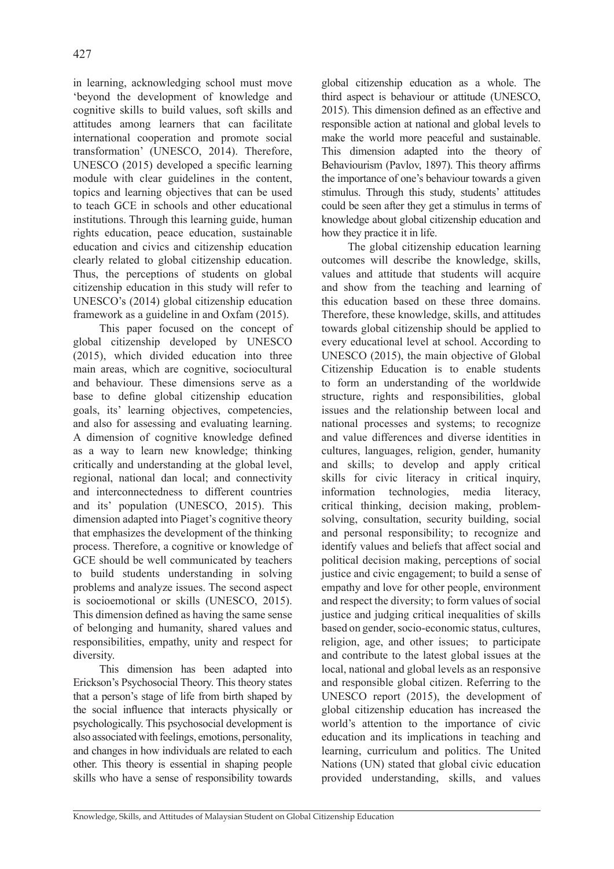in learning, acknowledging school must move 'beyond the development of knowledge and cognitive skills to build values, soft skills and attitudes among learners that can facilitate international cooperation and promote social transformation' (UNESCO, 2014). Therefore, UNESCO (2015) developed a specific learning module with clear guidelines in the content, topics and learning objectives that can be used to teach GCE in schools and other educational institutions. Through this learning guide, human rights education, peace education, sustainable education and civics and citizenship education clearly related to global citizenship education. Thus, the perceptions of students on global citizenship education in this study will refer to UNESCO's (2014) global citizenship education framework as a guideline in and Oxfam (2015).

This paper focused on the concept of global citizenship developed by UNESCO (2015), which divided education into three main areas, which are cognitive, sociocultural and behaviour. These dimensions serve as a base to define global citizenship education goals, its' learning objectives, competencies, and also for assessing and evaluating learning. A dimension of cognitive knowledge defined as a way to learn new knowledge; thinking critically and understanding at the global level, regional, national dan local; and connectivity and interconnectedness to different countries and its' population (UNESCO, 2015). This dimension adapted into Piaget's cognitive theory that emphasizes the development of the thinking process. Therefore, a cognitive or knowledge of GCE should be well communicated by teachers to build students understanding in solving problems and analyze issues. The second aspect is socioemotional or skills (UNESCO, 2015). This dimension defined as having the same sense of belonging and humanity, shared values and responsibilities, empathy, unity and respect for diversity.

This dimension has been adapted into Erickson's Psychosocial Theory. This theory states that a person's stage of life from birth shaped by the social influence that interacts physically or psychologically. This psychosocial development is also associated with feelings, emotions, personality, and changes in how individuals are related to each other. This theory is essential in shaping people skills who have a sense of responsibility towards

global citizenship education as a whole. The third aspect is behaviour or attitude (UNESCO, 2015). This dimension defined as an effective and responsible action at national and global levels to make the world more peaceful and sustainable. This dimension adapted into the theory of Behaviourism (Pavlov, 1897). This theory affirms the importance of one's behaviour towards a given stimulus. Through this study, students' attitudes could be seen after they get a stimulus in terms of knowledge about global citizenship education and how they practice it in life.

The global citizenship education learning outcomes will describe the knowledge, skills, values and attitude that students will acquire and show from the teaching and learning of this education based on these three domains. Therefore, these knowledge, skills, and attitudes towards global citizenship should be applied to every educational level at school. According to UNESCO (2015), the main objective of Global Citizenship Education is to enable students to form an understanding of the worldwide structure, rights and responsibilities, global issues and the relationship between local and national processes and systems; to recognize and value differences and diverse identities in cultures, languages, religion, gender, humanity and skills; to develop and apply critical skills for civic literacy in critical inquiry, information technologies, media literacy, critical thinking, decision making, problemsolving, consultation, security building, social and personal responsibility; to recognize and identify values and beliefs that affect social and political decision making, perceptions of social justice and civic engagement; to build a sense of empathy and love for other people, environment and respect the diversity; to form values of social justice and judging critical inequalities of skills based on gender, socio-economic status, cultures, religion, age, and other issues; to participate and contribute to the latest global issues at the local, national and global levels as an responsive and responsible global citizen. Referring to the UNESCO report (2015), the development of global citizenship education has increased the world's attention to the importance of civic education and its implications in teaching and learning, curriculum and politics. The United Nations (UN) stated that global civic education provided understanding, skills, and values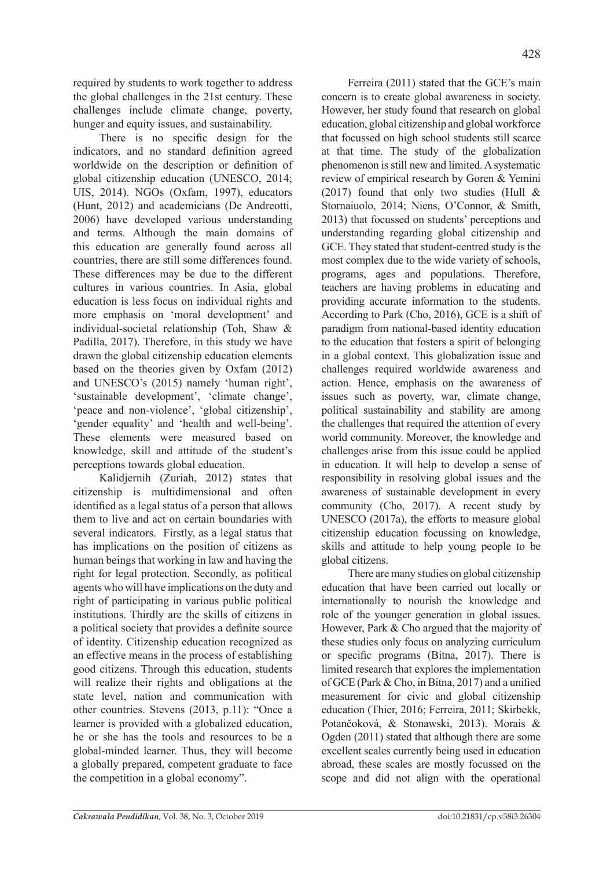required by students to work together to address the global challenges in the 21st century. These challenges include climate change, poverty, hunger and equity issues, and sustainability.

There is no specific design for the indicators, and no standard definition agreed worldwide on the description or definition of global citizenship education (UNESCO, 2014; UIS, 2014). NGOs (Oxfam, 1997), educators (Hunt, 2012) and academicians (De Andreotti, 2006) have developed various understanding and terms. Although the main domains of this education are generally found across all countries, there are still some differences found. These differences may be due to the different cultures in various countries. In Asia, global education is less focus on individual rights and more emphasis on 'moral development' and individual-societal relationship (Toh, Shaw & Padilla, 2017). Therefore, in this study we have drawn the global citizenship education elements based on the theories given by Oxfam (2012) and UNESCO's (2015) namely 'human right', 'sustainable development', 'climate change', 'peace and non-violence', 'global citizenship', 'gender equality' and 'health and well-being'. These elements were measured based on knowledge, skill and attitude of the student's perceptions towards global education.

Kalidjernih (Zuriah, 2012) states that citizenship is multidimensional and often identified as a legal status of a person that allows them to live and act on certain boundaries with several indicators. Firstly, as a legal status that has implications on the position of citizens as human beings that working in law and having the right for legal protection. Secondly, as political agents who will have implications on the duty and right of participating in various public political institutions. Thirdly are the skills of citizens in a political society that provides a definite source of identity. Citizenship education recognized as an effective means in the process of establishing good citizens. Through this education, students will realize their rights and obligations at the state level, nation and communication with other countries. Stevens (2013, p.11): "Once a learner is provided with a globalized education, he or she has the tools and resources to be a global-minded learner. Thus, they will become a globally prepared, competent graduate to face the competition in a global economy".

Ferreira (2011) stated that the GCE's main concern is to create global awareness in society. However, her study found that research on global education, global citizenship and global workforce that focussed on high school students still scarce at that time. The study of the globalization phenomenon is still new and limited. Asystematic review of empirical research by Goren & Yemini (2017) found that only two studies (Hull & Stornaiuolo, 2014; Niens, O'Connor, & Smith, 2013) that focussed on students' perceptions and understanding regarding global citizenship and GCE. They stated that student-centred study is the most complex due to the wide variety of schools, programs, ages and populations. Therefore, teachers are having problems in educating and providing accurate information to the students. According to Park (Cho, 2016), GCE is a shift of paradigm from national-based identity education to the education that fosters a spirit of belonging in a global context. This globalization issue and challenges required worldwide awareness and action. Hence, emphasis on the awareness of issues such as poverty, war, climate change, political sustainability and stability are among the challenges that required the attention of every world community. Moreover, the knowledge and challenges arise from this issue could be applied in education. It will help to develop a sense of responsibility in resolving global issues and the awareness of sustainable development in every community (Cho, 2017). A recent study by UNESCO (2017a), the efforts to measure global citizenship education focussing on knowledge, skills and attitude to help young people to be global citizens.

There are many studies on global citizenship education that have been carried out locally or internationally to nourish the knowledge and role of the younger generation in global issues. However, Park & Cho argued that the majority of these studies only focus on analyzing curriculum or specific programs (Bitna, 2017). There is limited research that explores the implementation of GCE (Park & Cho, in Bitna, 2017) and a unified measurement for civic and global citizenship education (Thier, 2016; Ferreira, 2011; Skirbekk, Potančoková, & Stonawski, 2013). Morais & Ogden (2011) stated that although there are some excellent scales currently being used in education abroad, these scales are mostly focussed on the scope and did not align with the operational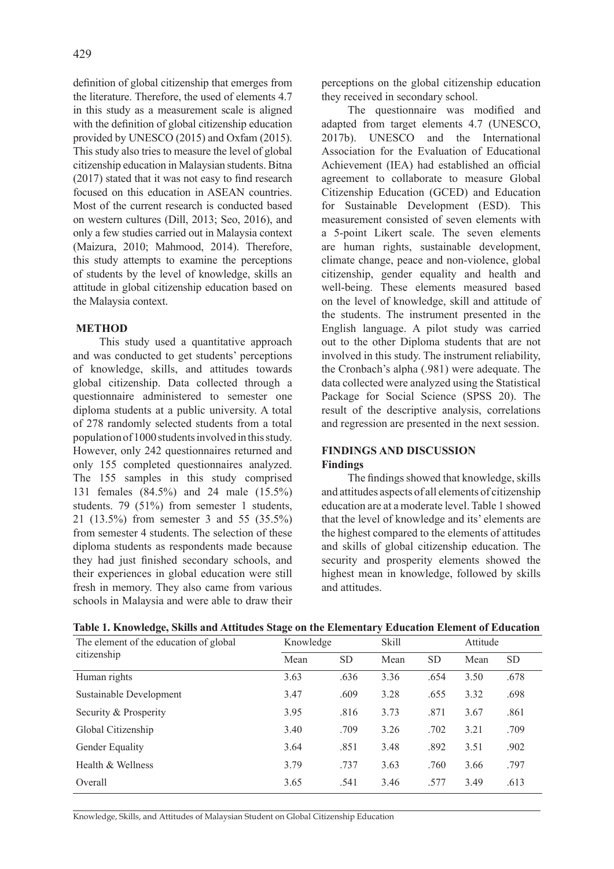definition of global citizenship that emerges from the literature. Therefore, the used of elements 4.7 in this study as a measurement scale is aligned with the definition of global citizenship education provided by UNESCO (2015) and Oxfam (2015). This study also tries to measure the level of global citizenship education in Malaysian students. Bitna (2017) stated that it was not easy to find research focused on this education in ASEAN countries. Most of the current research is conducted based on western cultures (Dill, 2013; Seo, 2016), and only a few studies carried out in Malaysia context (Maizura, 2010; Mahmood, 2014). Therefore, this study attempts to examine the perceptions of students by the level of knowledge, skills an attitude in global citizenship education based on the Malaysia context.

# **METHOD**

This study used a quantitative approach and was conducted to get students' perceptions of knowledge, skills, and attitudes towards global citizenship. Data collected through a questionnaire administered to semester one diploma students at a public university. A total of 278 randomly selected students from a total population of 1000 students involved in this study. However, only 242 questionnaires returned and only 155 completed questionnaires analyzed. The 155 samples in this study comprised 131 females (84.5%) and 24 male (15.5%) students. 79 (51%) from semester 1 students, 21 (13.5%) from semester 3 and 55 (35.5%) from semester 4 students. The selection of these diploma students as respondents made because they had just finished secondary schools, and their experiences in global education were still fresh in memory. They also came from various schools in Malaysia and were able to draw their perceptions on the global citizenship education they received in secondary school.

The questionnaire was modified and adapted from target elements 4.7 (UNESCO, 2017b). UNESCO and the International Association for the Evaluation of Educational Achievement (IEA) had established an official agreement to collaborate to measure Global Citizenship Education (GCED) and Education for Sustainable Development (ESD). This measurement consisted of seven elements with a 5-point Likert scale. The seven elements are human rights, sustainable development, climate change, peace and non-violence, global citizenship, gender equality and health and well-being. These elements measured based on the level of knowledge, skill and attitude of the students. The instrument presented in the English language. A pilot study was carried out to the other Diploma students that are not involved in this study. The instrument reliability, the Cronbach's alpha (.981) were adequate. The data collected were analyzed using the Statistical Package for Social Science (SPSS 20). The result of the descriptive analysis, correlations and regression are presented in the next session.

## **FINDINGS AND DISCUSSION Findings**

The findings showed that knowledge, skills and attitudes aspects of all elements of citizenship education are at a moderate level. Table 1 showed that the level of knowledge and its' elements are the highest compared to the elements of attitudes and skills of global citizenship education. The security and prosperity elements showed the highest mean in knowledge, followed by skills and attitudes.

| $\sigma$<br>The element of the education of global | o<br>Knowledge |           | $\sim$<br><b>Skill</b> |           | Attitude |           |
|----------------------------------------------------|----------------|-----------|------------------------|-----------|----------|-----------|
| citizenship                                        | Mean           | <b>SD</b> | Mean                   | <b>SD</b> | Mean     | <b>SD</b> |
| Human rights                                       | 3.63           | .636      | 3.36                   | .654      | 3.50     | .678      |
| Sustainable Development                            | 3.47           | .609      | 3.28                   | .655      | 3.32     | .698      |
| Security & Prosperity                              | 3.95           | .816      | 3.73                   | .871      | 3.67     | .861      |
| Global Citizenship                                 | 3.40           | .709      | 3.26                   | .702      | 3.21     | .709      |
| Gender Equality                                    | 3.64           | .851      | 3.48                   | .892      | 3.51     | .902      |
| Health & Wellness                                  | 3.79           | .737      | 3.63                   | .760      | 3.66     | .797      |
| Overall                                            | 3.65           | .541      | 3.46                   | .577      | 3.49     | .613      |

## **Table 1. Knowledge, Skills and Attitudes Stage on the Elementary Education Element of Education**

Knowledge, Skills, and Attitudes of Malaysian Student on Global Citizenship Education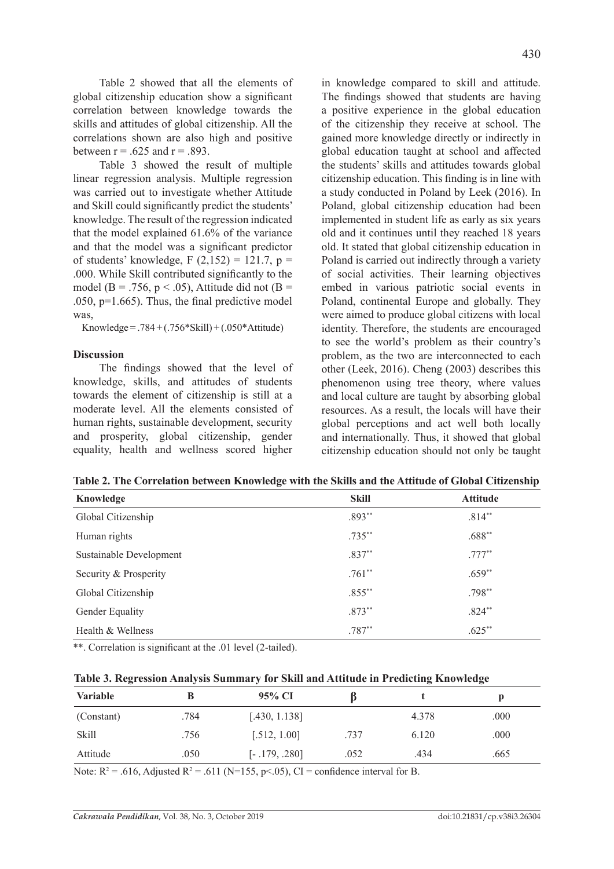Table 2 showed that all the elements of global citizenship education show a significant correlation between knowledge towards the skills and attitudes of global citizenship. All the correlations shown are also high and positive between  $r = .625$  and  $r = .893$ .

Table 3 showed the result of multiple linear regression analysis. Multiple regression was carried out to investigate whether Attitude and Skill could significantly predict the students' knowledge. The result of the regression indicated that the model explained 61.6% of the variance and that the model was a significant predictor of students' knowledge, F  $(2,152) = 121.7$ , p = .000. While Skill contributed significantly to the model (B = .756, p < .05), Attitude did not (B = .050,  $p=1.665$ ). Thus, the final predictive model was,

Knowledge = .784 +  $(.756*Skill)$  +  $(.050*Attitude)$ 

#### **Discussion**

The findings showed that the level of knowledge, skills, and attitudes of students towards the element of citizenship is still at a moderate level. All the elements consisted of human rights, sustainable development, security and prosperity, global citizenship, gender equality, health and wellness scored higher in knowledge compared to skill and attitude. The findings showed that students are having a positive experience in the global education of the citizenship they receive at school. The gained more knowledge directly or indirectly in global education taught at school and affected the students' skills and attitudes towards global citizenship education. This finding is in line with a study conducted in Poland by Leek (2016). In Poland, global citizenship education had been implemented in student life as early as six years old and it continues until they reached 18 years old. It stated that global citizenship education in Poland is carried out indirectly through a variety of social activities. Their learning objectives embed in various patriotic social events in Poland, continental Europe and globally. They were aimed to produce global citizens with local identity. Therefore, the students are encouraged to see the world's problem as their country's problem, as the two are interconnected to each other (Leek, 2016). Cheng (2003) describes this phenomenon using tree theory, where values and local culture are taught by absorbing global resources. As a result, the locals will have their global perceptions and act well both locally and internationally. Thus, it showed that global citizenship education should not only be taught

| Knowledge               | <b>Skill</b> | <b>Attitude</b> |
|-------------------------|--------------|-----------------|
| Global Citizenship      | $.893**$     | $.814**$        |
| Human rights            | $.735**$     | $.688**$        |
| Sustainable Development | $.837**$     | $.777**$        |
| Security & Prosperity   | $.761**$     | $.659**$        |
| Global Citizenship      | $.855***$    | $.798**$        |
| Gender Equality         | $.873**$     | $.824**$        |
| Health & Wellness       | $.787**$     | $.625**$        |

**Table 2. The Correlation between Knowledge with the Skills and the Attitude of Global Citizenship**

\*\*. Correlation is significant at the .01 level (2-tailed).

| Table 3. Regression Analysis Summary for Skill and Attitude in Predicting Knowledge |  |  |  |  |  |
|-------------------------------------------------------------------------------------|--|--|--|--|--|
|                                                                                     |  |  |  |  |  |

| $\sim$          |      |                 |      |       | _    |
|-----------------|------|-----------------|------|-------|------|
| <b>Variable</b> |      | 95% CI          |      |       |      |
| (Constant)      | .784 | [.430, 1.138]   |      | 4.378 | .000 |
| Skill           | .756 | [.512, 1.00]    | .737 | 6.120 | .000 |
| Attitude        | .050 | $[-.179, .280]$ | .052 | .434  | .665 |

Note:  $R^2 = .616$ , Adjusted  $R^2 = .611$  (N=155, p < 05), CI = confidence interval for B.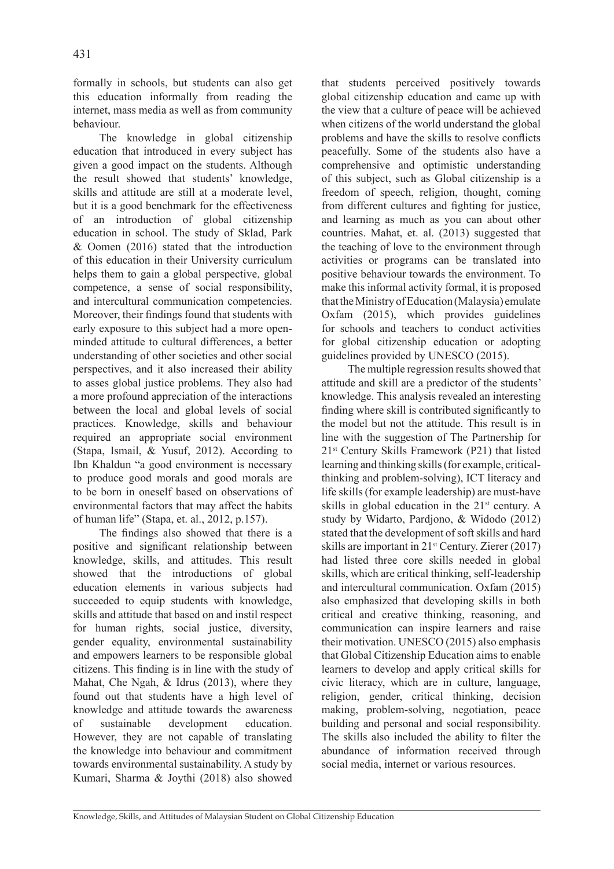formally in schools, but students can also get this education informally from reading the internet, mass media as well as from community behaviour.

The knowledge in global citizenship education that introduced in every subject has given a good impact on the students. Although the result showed that students' knowledge, skills and attitude are still at a moderate level, but it is a good benchmark for the effectiveness of an introduction of global citizenship education in school. The study of Sklad, Park & Oomen (2016) stated that the introduction of this education in their University curriculum helps them to gain a global perspective, global competence, a sense of social responsibility, and intercultural communication competencies. Moreover, their findings found that students with early exposure to this subject had a more openminded attitude to cultural differences, a better understanding of other societies and other social perspectives, and it also increased their ability to asses global justice problems. They also had a more profound appreciation of the interactions between the local and global levels of social practices. Knowledge, skills and behaviour required an appropriate social environment (Stapa, Ismail, & Yusuf, 2012). According to Ibn Khaldun "a good environment is necessary to produce good morals and good morals are to be born in oneself based on observations of environmental factors that may affect the habits of human life" (Stapa, et. al., 2012, p.157).

The findings also showed that there is a positive and significant relationship between knowledge, skills, and attitudes. This result showed that the introductions of global education elements in various subjects had succeeded to equip students with knowledge, skills and attitude that based on and instil respect for human rights, social justice, diversity, gender equality, environmental sustainability and empowers learners to be responsible global citizens. This finding is in line with the study of Mahat, Che Ngah, & Idrus (2013), where they found out that students have a high level of knowledge and attitude towards the awareness of sustainable development education. However, they are not capable of translating the knowledge into behaviour and commitment towards environmental sustainability. A study by Kumari, Sharma & Joythi (2018) also showed that students perceived positively towards global citizenship education and came up with the view that a culture of peace will be achieved when citizens of the world understand the global problems and have the skills to resolve conflicts peacefully. Some of the students also have a comprehensive and optimistic understanding of this subject, such as Global citizenship is a freedom of speech, religion, thought, coming from different cultures and fighting for justice, and learning as much as you can about other countries. Mahat, et. al. (2013) suggested that the teaching of love to the environment through activities or programs can be translated into positive behaviour towards the environment. To make this informal activity formal, it is proposed that the Ministry of Education (Malaysia) emulate Oxfam (2015), which provides guidelines for schools and teachers to conduct activities for global citizenship education or adopting guidelines provided by UNESCO (2015).

The multiple regression results showed that attitude and skill are a predictor of the students' knowledge. This analysis revealed an interesting finding where skill is contributed significantly to the model but not the attitude. This result is in line with the suggestion of The Partnership for 21st Century Skills Framework (P21) that listed learning and thinking skills (for example, criticalthinking and problem-solving), ICT literacy and life skills (for example leadership) are must-have skills in global education in the 21st century. A study by Widarto, Pardjono, & Widodo (2012) stated that the development of soft skills and hard skills are important in 21<sup>st</sup> Century. Zierer (2017) had listed three core skills needed in global skills, which are critical thinking, self-leadership and intercultural communication. Oxfam (2015) also emphasized that developing skills in both critical and creative thinking, reasoning, and communication can inspire learners and raise their motivation. UNESCO (2015) also emphasis that Global Citizenship Education aims to enable learners to develop and apply critical skills for civic literacy, which are in culture, language, religion, gender, critical thinking, decision making, problem-solving, negotiation, peace building and personal and social responsibility. The skills also included the ability to filter the abundance of information received through social media, internet or various resources.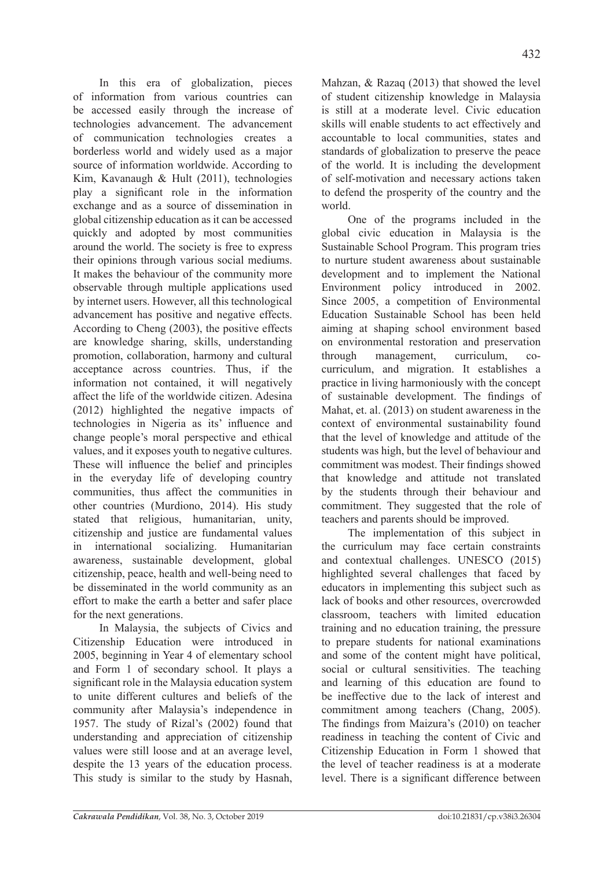In this era of globalization, pieces of information from various countries can be accessed easily through the increase of technologies advancement. The advancement of communication technologies creates a borderless world and widely used as a major source of information worldwide. According to Kim, Kavanaugh & Hult (2011), technologies play a significant role in the information exchange and as a source of dissemination in global citizenship education as it can be accessed quickly and adopted by most communities around the world. The society is free to express their opinions through various social mediums. It makes the behaviour of the community more observable through multiple applications used by internet users. However, all this technological advancement has positive and negative effects. According to Cheng (2003), the positive effects are knowledge sharing, skills, understanding promotion, collaboration, harmony and cultural acceptance across countries. Thus, if the information not contained, it will negatively affect the life of the worldwide citizen. Adesina (2012) highlighted the negative impacts of technologies in Nigeria as its' influence and change people's moral perspective and ethical values, and it exposes youth to negative cultures. These will influence the belief and principles in the everyday life of developing country communities, thus affect the communities in other countries (Murdiono, 2014). His study stated that religious, humanitarian, unity, citizenship and justice are fundamental values in international socializing. Humanitarian awareness, sustainable development, global citizenship, peace, health and well-being need to be disseminated in the world community as an effort to make the earth a better and safer place for the next generations.

In Malaysia, the subjects of Civics and Citizenship Education were introduced in 2005, beginning in Year 4 of elementary school and Form 1 of secondary school. It plays a significant role in the Malaysia education system to unite different cultures and beliefs of the community after Malaysia's independence in 1957. The study of Rizal's (2002) found that understanding and appreciation of citizenship values were still loose and at an average level, despite the 13 years of the education process. This study is similar to the study by Hasnah, Mahzan, & Razaq (2013) that showed the level of student citizenship knowledge in Malaysia is still at a moderate level. Civic education skills will enable students to act effectively and accountable to local communities, states and standards of globalization to preserve the peace of the world. It is including the development of self-motivation and necessary actions taken to defend the prosperity of the country and the world.

One of the programs included in the global civic education in Malaysia is the Sustainable School Program. This program tries to nurture student awareness about sustainable development and to implement the National Environment policy introduced in 2002. Since 2005, a competition of Environmental Education Sustainable School has been held aiming at shaping school environment based on environmental restoration and preservation through management, curriculum, cocurriculum, and migration. It establishes a practice in living harmoniously with the concept of sustainable development. The findings of Mahat, et. al. (2013) on student awareness in the context of environmental sustainability found that the level of knowledge and attitude of the students was high, but the level of behaviour and commitment was modest. Their findings showed that knowledge and attitude not translated by the students through their behaviour and commitment. They suggested that the role of teachers and parents should be improved.

The implementation of this subject in the curriculum may face certain constraints and contextual challenges. UNESCO (2015) highlighted several challenges that faced by educators in implementing this subject such as lack of books and other resources, overcrowded classroom, teachers with limited education training and no education training, the pressure to prepare students for national examinations and some of the content might have political, social or cultural sensitivities. The teaching and learning of this education are found to be ineffective due to the lack of interest and commitment among teachers (Chang, 2005). The findings from Maizura's (2010) on teacher readiness in teaching the content of Civic and Citizenship Education in Form 1 showed that the level of teacher readiness is at a moderate level. There is a significant difference between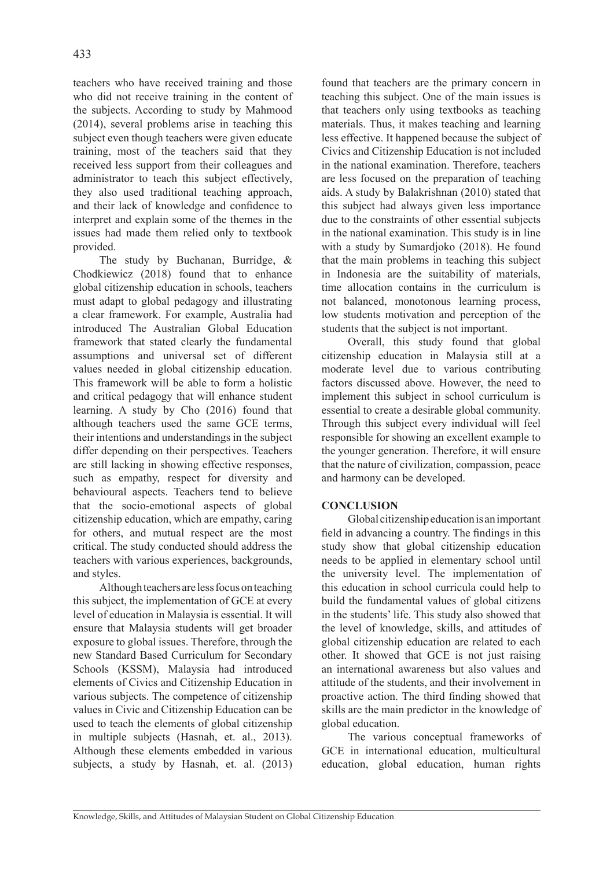teachers who have received training and those who did not receive training in the content of the subjects. According to study by Mahmood (2014), several problems arise in teaching this subject even though teachers were given educate training, most of the teachers said that they received less support from their colleagues and administrator to teach this subject effectively, they also used traditional teaching approach, and their lack of knowledge and confidence to interpret and explain some of the themes in the issues had made them relied only to textbook provided.

The study by Buchanan, Burridge, & Chodkiewicz (2018) found that to enhance global citizenship education in schools, teachers must adapt to global pedagogy and illustrating a clear framework. For example, Australia had introduced The Australian Global Education framework that stated clearly the fundamental assumptions and universal set of different values needed in global citizenship education. This framework will be able to form a holistic and critical pedagogy that will enhance student learning. A study by Cho (2016) found that although teachers used the same GCE terms, their intentions and understandings in the subject differ depending on their perspectives. Teachers are still lacking in showing effective responses, such as empathy, respect for diversity and behavioural aspects. Teachers tend to believe that the socio-emotional aspects of global citizenship education, which are empathy, caring for others, and mutual respect are the most critical. The study conducted should address the teachers with various experiences, backgrounds, and styles.

Although teachers are less focus on teaching this subject, the implementation of GCE at every level of education in Malaysia is essential. It will ensure that Malaysia students will get broader exposure to global issues. Therefore, through the new Standard Based Curriculum for Secondary Schools (KSSM), Malaysia had introduced elements of Civics and Citizenship Education in various subjects. The competence of citizenship values in Civic and Citizenship Education can be used to teach the elements of global citizenship in multiple subjects (Hasnah, et. al., 2013). Although these elements embedded in various subjects, a study by Hasnah, et. al. (2013) found that teachers are the primary concern in teaching this subject. One of the main issues is that teachers only using textbooks as teaching materials. Thus, it makes teaching and learning less effective. It happened because the subject of Civics and Citizenship Education is not included in the national examination. Therefore, teachers are less focused on the preparation of teaching aids. A study by Balakrishnan (2010) stated that this subject had always given less importance due to the constraints of other essential subjects in the national examination. This study is in line with a study by Sumardjoko (2018). He found that the main problems in teaching this subject in Indonesia are the suitability of materials, time allocation contains in the curriculum is not balanced, monotonous learning process, low students motivation and perception of the students that the subject is not important.

Overall, this study found that global citizenship education in Malaysia still at a moderate level due to various contributing factors discussed above. However, the need to implement this subject in school curriculum is essential to create a desirable global community. Through this subject every individual will feel responsible for showing an excellent example to the younger generation. Therefore, it will ensure that the nature of civilization, compassion, peace and harmony can be developed.

# **CONCLUSION**

Global citizenship education is an important field in advancing a country. The findings in this study show that global citizenship education needs to be applied in elementary school until the university level. The implementation of this education in school curricula could help to build the fundamental values of global citizens in the students' life. This study also showed that the level of knowledge, skills, and attitudes of global citizenship education are related to each other. It showed that GCE is not just raising an international awareness but also values and attitude of the students, and their involvement in proactive action. The third finding showed that skills are the main predictor in the knowledge of global education.

The various conceptual frameworks of GCE in international education, multicultural education, global education, human rights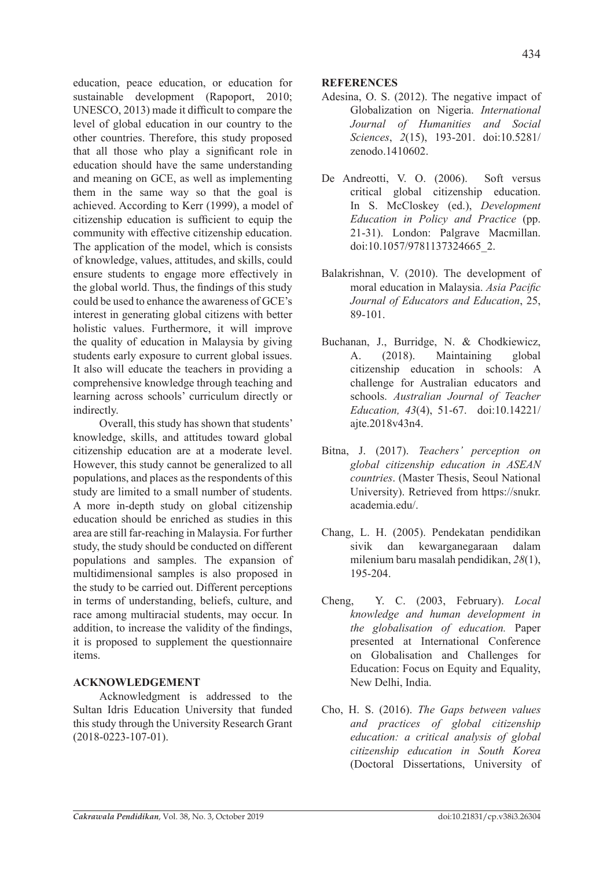education, peace education, or education for sustainable development (Rapoport, 2010; UNESCO, 2013) made it difficult to compare the level of global education in our country to the other countries. Therefore, this study proposed that all those who play a significant role in education should have the same understanding and meaning on GCE, as well as implementing them in the same way so that the goal is achieved. According to Kerr (1999), a model of citizenship education is sufficient to equip the community with effective citizenship education. The application of the model, which is consists of knowledge, values, attitudes, and skills, could ensure students to engage more effectively in the global world. Thus, the findings of this study could be used to enhance the awareness of GCE's interest in generating global citizens with better holistic values. Furthermore, it will improve the quality of education in Malaysia by giving students early exposure to current global issues. It also will educate the teachers in providing a comprehensive knowledge through teaching and learning across schools' curriculum directly or indirectly.

Overall, this study has shown that students' knowledge, skills, and attitudes toward global citizenship education are at a moderate level. However, this study cannot be generalized to all populations, and places as the respondents of this study are limited to a small number of students. A more in-depth study on global citizenship education should be enriched as studies in this area are still far-reaching in Malaysia. For further study, the study should be conducted on different populations and samples. The expansion of multidimensional samples is also proposed in the study to be carried out. Different perceptions in terms of understanding, beliefs, culture, and race among multiracial students, may occur. In addition, to increase the validity of the findings, it is proposed to supplement the questionnaire items.

## **ACKNOWLEDGEMENT**

Acknowledgment is addressed to the Sultan Idris Education University that funded this study through the University Research Grant (2018-0223-107-01).

### **REFERENCES**

- Adesina, O. S. (2012). The negative impact of Globalization on Nigeria. *International Journal of Humanities and Social Sciences*, *2*(15), 193-201. doi:10.5281/ zenodo.1410602.
- De Andreotti, V. O. (2006). Soft versus critical global citizenship education. In S. McCloskey (ed.), *Development Education in Policy and Practice* (pp. 21-31). London: Palgrave Macmillan. doi:10.1057/9781137324665\_2.
- Balakrishnan, V. (2010). The development of moral education in Malaysia. *Asia Pacific Journal of Educators and Education*, 25, 89-101.
- Buchanan, J., Burridge, N. & Chodkiewicz, A. (2018). Maintaining global citizenship education in schools: A challenge for Australian educators and schools. *Australian Journal of Teacher Education, 43*(4), 51-67. doi:10.14221/ ajte.2018v43n4.
- Bitna, J. (2017). *Teachers' perception on global citizenship education in ASEAN countries*. (Master Thesis, Seoul National University). Retrieved from https://snukr. academia.edu/.
- Chang, L. H. (2005). Pendekatan pendidikan sivik dan kewarganegaraan dalam milenium baru masalah pendidikan, *28*(1), 195-204.
- Cheng, Y. C. (2003, February). *Local knowledge and human development in the globalisation of education.* Paper presented at International Conference on Globalisation and Challenges for Education: Focus on Equity and Equality, New Delhi, India.
- Cho, H. S. (2016). *The Gaps between values and practices of global citizenship education: a critical analysis of global citizenship education in South Korea* (Doctoral Dissertations, University of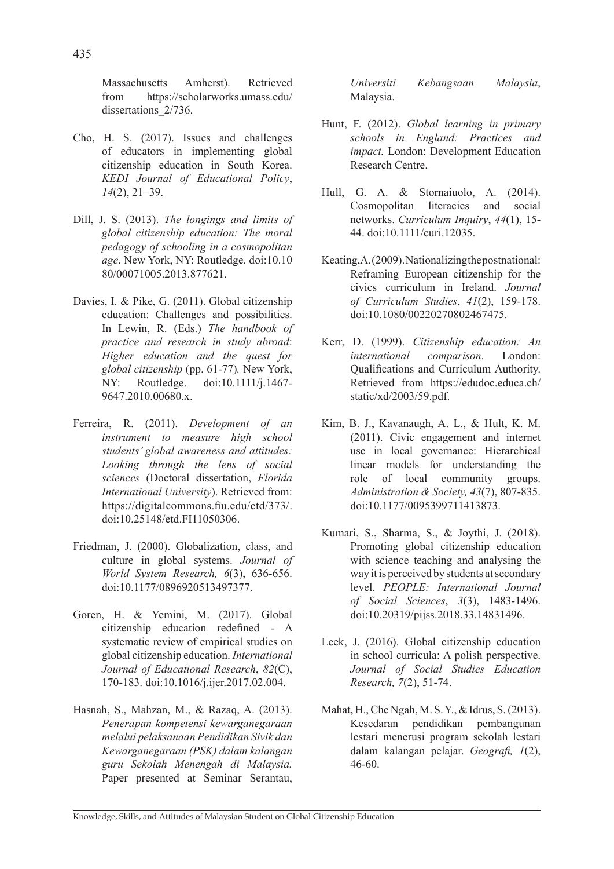Massachusetts Amherst). Retrieved from https://scholarworks.umass.edu/ dissertations  $2/736$ .

- Cho, H. S. (2017). Issues and challenges of educators in implementing global citizenship education in South Korea. *KEDI Journal of Educational Policy*, *14*(2), 21–39.
- Dill, J. S. (2013). *The longings and limits of global citizenship education: The moral pedagogy of schooling in a cosmopolitan age*. New York, NY: Routledge. doi:10.10 80/00071005.2013.877621.
- Davies, I. & Pike, G. (2011). Global citizenship education: Challenges and possibilities. In Lewin, R. (Eds.) *The handbook of practice and research in study abroad*: *Higher education and the quest for global citizenship* (pp. 61-77)*.* New York, NY: Routledge. doi:10.1111/j.1467- 9647.2010.00680.x.
- Ferreira, R. (2011). *Development of an instrument to measure high school students' global awareness and attitudes: Looking through the lens of social sciences* (Doctoral dissertation, *Florida International University*). Retrieved from: https://digitalcommons.fiu.edu/etd/373/. doi:10.25148/etd.FI11050306.
- Friedman, J. (2000). Globalization, class, and culture in global systems. *Journal of World System Research, 6*(3), 636-656. doi:10.1177/0896920513497377.
- Goren, H. & Yemini, M. (2017). Global citizenship education redefined - A systematic review of empirical studies on global citizenship education. *International Journal of Educational Research*, *82*(C), 170-183. doi:10.1016/j.ijer.2017.02.004.
- Hasnah, S., Mahzan, M., & Razaq, A. (2013). *Penerapan kompetensi kewarganegaraan melalui pelaksanaan Pendidikan Sivik dan Kewarganegaraan (PSK) dalam kalangan guru Sekolah Menengah di Malaysia.*  Paper presented at Seminar Serantau,

*Universiti Kebangsaan Malaysia*, Malaysia.

- Hunt, F. (2012). *Global learning in primary schools in England: Practices and impact.* London: Development Education Research Centre.
- Hull, G. A. & Stornaiuolo, A. (2014). Cosmopolitan literacies and social networks. *Curriculum Inquiry*, *44*(1), 15- 44. doi:10.1111/curi.12035.
- Keating, A. (2009). Nationalizing the postnational: Reframing European citizenship for the civics curriculum in Ireland. *Journal of Curriculum Studies*, *41*(2), 159-178. doi:10.1080/00220270802467475.
- Kerr, D. (1999). *Citizenship education: An international comparison*. London: Qualifications and Curriculum Authority. Retrieved from https://edudoc.educa.ch/ static/xd/2003/59.pdf.
- Kim, B. J., Kavanaugh, A. L., & Hult, K. M. (2011). Civic engagement and internet use in local governance: Hierarchical linear models for understanding the role of local community groups. *Administration & Society, 43*(7), 807-835. doi:10.1177/0095399711413873.
- Kumari, S., Sharma, S., & Joythi, J. (2018). Promoting global citizenship education with science teaching and analysing the way it is perceived by students at secondary level. *PEOPLE: International Journal of Social Sciences*, *3*(3), 1483-1496. doi:10.20319/pijss.2018.33.14831496.
- Leek, J. (2016). Global citizenship education in school curricula: A polish perspective. *Journal of Social Studies Education Research, 7*(2), 51-74.
- Mahat, H., Che Ngah, M. S. Y., & Idrus, S. (2013). Kesedaran pendidikan pembangunan lestari menerusi program sekolah lestari dalam kalangan pelajar. *Geografi, 1*(2), 46-60.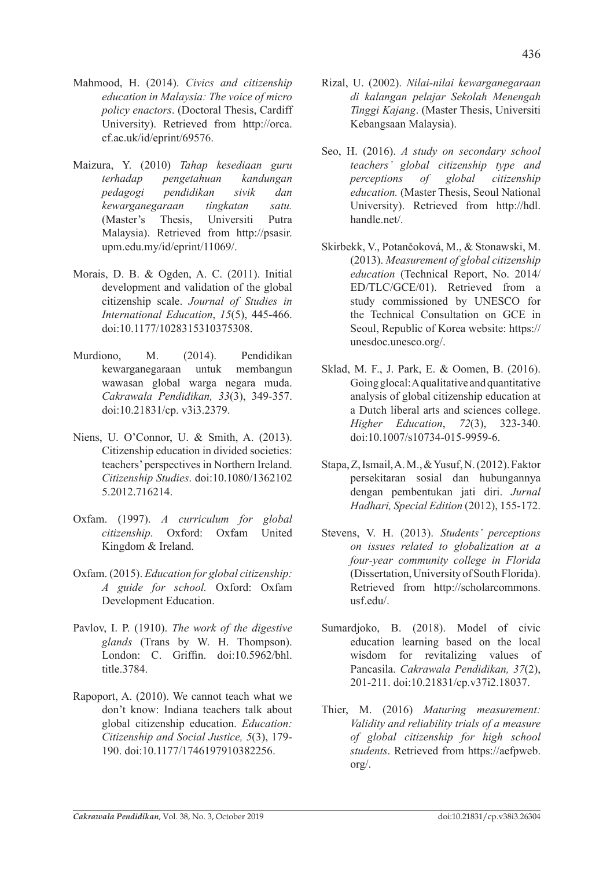- Mahmood, H. (2014). *Civics and citizenship education in Malaysia: The voice of micro policy enactors*. (Doctoral Thesis, Cardiff University). Retrieved from http://orca. cf.ac.uk/id/eprint/69576.
- Maizura, Y. (2010) *Tahap kesediaan guru terhadap pengetahuan kandungan pedagogi pendidikan sivik dan kewarganegaraan tingkatan satu.* (Master's Thesis, Universiti Putra Malaysia). Retrieved from http://psasir. upm.edu.my/id/eprint/11069/.
- Morais, D. B. & Ogden, A. C. (2011). Initial development and validation of the global citizenship scale. *Journal of Studies in International Education*, *15*(5), 445-466. doi:10.1177/1028315310375308.
- Murdiono, M. (2014). Pendidikan kewarganegaraan untuk membangun wawasan global warga negara muda. *Cakrawala Pendidikan, 33*(3), 349-357. doi:10.21831/cp. v3i3.2379.
- Niens, U. O'Connor, U. & Smith, A. (2013). Citizenship education in divided societies: teachers' perspectives in Northern Ireland. *Citizenship Studies*. doi:10.1080/1362102 5.2012.716214.
- Oxfam. (1997). *A curriculum for global citizenship*. Oxford: Oxfam United Kingdom & Ireland.
- Oxfam. (2015). *Education for global citizenship: A guide for school.* Oxford: Oxfam Development Education.
- Pavlov, I. P. (1910). *The work of the digestive glands* (Trans by W. H. Thompson). London: C. Griffin. doi:10.5962/bhl. title.3784.
- Rapoport, A. (2010). We cannot teach what we don't know: Indiana teachers talk about global citizenship education. *Education: Citizenship and Social Justice, 5*(3), 179- 190. doi:10.1177/1746197910382256.
- Rizal, U. (2002). *Nilai-nilai kewarganegaraan di kalangan pelajar Sekolah Menengah Tinggi Kajang*. (Master Thesis, Universiti Kebangsaan Malaysia).
- Seo, H. (2016). *A study on secondary school teachers' global citizenship type and perceptions of global citizenship education.* (Master Thesis, Seoul National University). Retrieved from http://hdl. handle.net/.
- Skirbekk, V., Potančoková, M., & Stonawski, M. (2013). *Measurement of global citizenship education* (Technical Report, No. 2014/ ED/TLC/GCE/01). Retrieved from a study commissioned by UNESCO for the Technical Consultation on GCE in Seoul, Republic of Korea website: https:// unesdoc.unesco.org/.
- Sklad, M. F., J. Park, E. & Oomen, B. (2016). Going glocal: A qualitative and quantitative analysis of global citizenship education at a Dutch liberal arts and sciences college. *Higher Education*, *72*(3), 323-340. doi:10.1007/s10734-015-9959-6.
- Stapa, Z, Ismail, A. M., & Yusuf, N. (2012). Faktor persekitaran sosial dan hubungannya dengan pembentukan jati diri. *Jurnal Hadhari, Special Edition* (2012), 155-172.
- Stevens, V. H. (2013). *Students' perceptions on issues related to globalization at a four-year community college in Florida* (Dissertation, University of South Florida). Retrieved from http://scholarcommons. usf.edu/.
- Sumardjoko, B. (2018). Model of civic education learning based on the local wisdom for revitalizing values of Pancasila. *Cakrawala Pendidikan, 37*(2), 201-211. doi:10.21831/cp.v37i2.18037.
- Thier, M. (2016) *Maturing measurement: Validity and reliability trials of a measure of global citizenship for high school students*. Retrieved from https://aefpweb. org/.